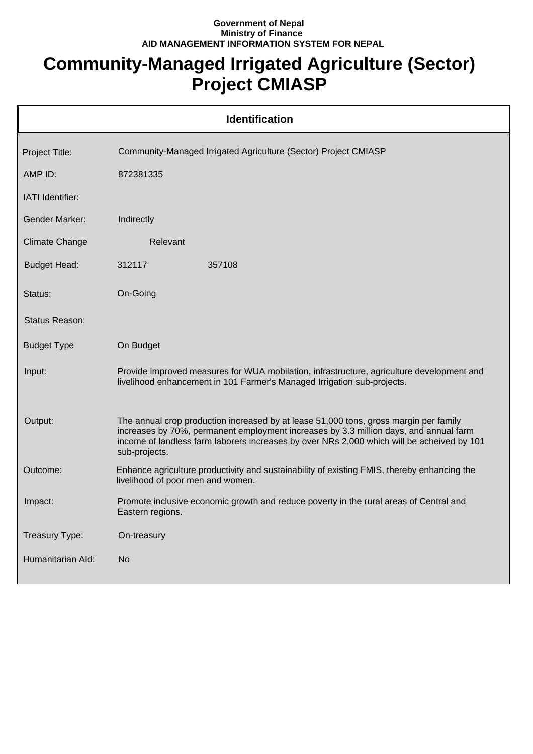## **Government of Nepal Ministry of Finance AID MANAGEMENT INFORMATION SYSTEM FOR NEPAL**

## **Community-Managed Irrigated Agriculture (Sector) Project CMIASP**

|                       | <b>Identification</b>                                                                                                                                                                                                                                                                         |
|-----------------------|-----------------------------------------------------------------------------------------------------------------------------------------------------------------------------------------------------------------------------------------------------------------------------------------------|
| Project Title:        | Community-Managed Irrigated Agriculture (Sector) Project CMIASP                                                                                                                                                                                                                               |
| AMP ID:               | 872381335                                                                                                                                                                                                                                                                                     |
| IATI Identifier:      |                                                                                                                                                                                                                                                                                               |
| <b>Gender Marker:</b> | Indirectly                                                                                                                                                                                                                                                                                    |
| <b>Climate Change</b> | Relevant                                                                                                                                                                                                                                                                                      |
| <b>Budget Head:</b>   | 312117<br>357108                                                                                                                                                                                                                                                                              |
| Status:               | On-Going                                                                                                                                                                                                                                                                                      |
| Status Reason:        |                                                                                                                                                                                                                                                                                               |
| <b>Budget Type</b>    | On Budget                                                                                                                                                                                                                                                                                     |
| Input:                | Provide improved measures for WUA mobilation, infrastructure, agriculture development and<br>livelihood enhancement in 101 Farmer's Managed Irrigation sub-projects.                                                                                                                          |
| Output:               | The annual crop production increased by at lease 51,000 tons, gross margin per family<br>increases by 70%, permanent employment increases by 3.3 million days, and annual farm<br>income of landless farm laborers increases by over NRs 2,000 which will be acheived by 101<br>sub-projects. |
| Outcome:              | Enhance agriculture productivity and sustainability of existing FMIS, thereby enhancing the<br>livelihood of poor men and women.                                                                                                                                                              |
| Impact:               | Promote inclusive economic growth and reduce poverty in the rural areas of Central and<br>Eastern regions.                                                                                                                                                                                    |
| Treasury Type:        | On-treasury                                                                                                                                                                                                                                                                                   |
| Humanitarian Ald:     | <b>No</b>                                                                                                                                                                                                                                                                                     |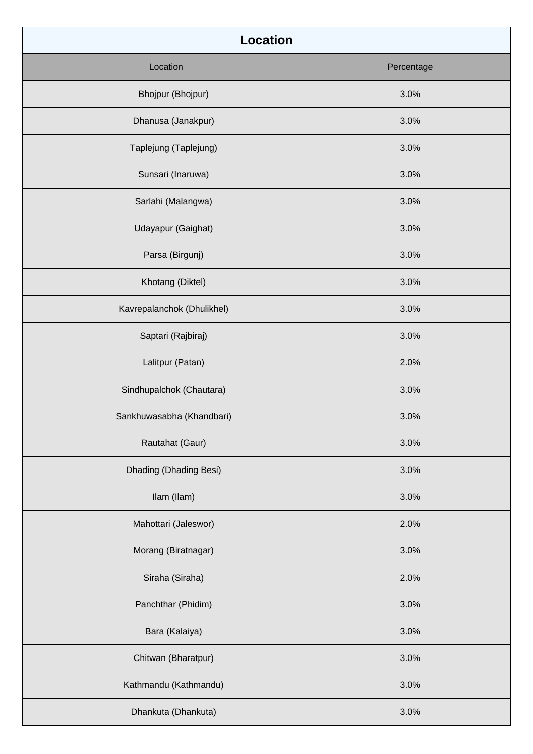| <b>Location</b>            |            |
|----------------------------|------------|
| Location                   | Percentage |
| Bhojpur (Bhojpur)          | 3.0%       |
| Dhanusa (Janakpur)         | 3.0%       |
| Taplejung (Taplejung)      | 3.0%       |
| Sunsari (Inaruwa)          | 3.0%       |
| Sarlahi (Malangwa)         | 3.0%       |
| Udayapur (Gaighat)         | 3.0%       |
| Parsa (Birgunj)            | 3.0%       |
| Khotang (Diktel)           | 3.0%       |
| Kavrepalanchok (Dhulikhel) | 3.0%       |
| Saptari (Rajbiraj)         | 3.0%       |
| Lalitpur (Patan)           | 2.0%       |
| Sindhupalchok (Chautara)   | 3.0%       |
| Sankhuwasabha (Khandbari)  | 3.0%       |
| Rautahat (Gaur)            | 3.0%       |
| Dhading (Dhading Besi)     | 3.0%       |
| Ilam (Ilam)                | 3.0%       |
| Mahottari (Jaleswor)       | 2.0%       |
| Morang (Biratnagar)        | 3.0%       |
| Siraha (Siraha)            | 2.0%       |
| Panchthar (Phidim)         | 3.0%       |
| Bara (Kalaiya)             | 3.0%       |
| Chitwan (Bharatpur)        | 3.0%       |
| Kathmandu (Kathmandu)      | 3.0%       |
| Dhankuta (Dhankuta)        | 3.0%       |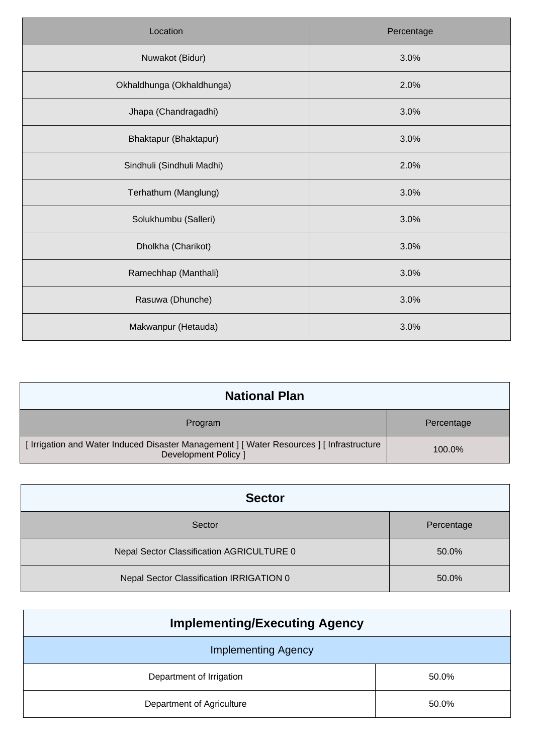| Location                  | Percentage |
|---------------------------|------------|
| Nuwakot (Bidur)           | 3.0%       |
| Okhaldhunga (Okhaldhunga) | 2.0%       |
| Jhapa (Chandragadhi)      | 3.0%       |
| Bhaktapur (Bhaktapur)     | 3.0%       |
| Sindhuli (Sindhuli Madhi) | 2.0%       |
| Terhathum (Manglung)      | 3.0%       |
| Solukhumbu (Salleri)      | 3.0%       |
| Dholkha (Charikot)        | 3.0%       |
| Ramechhap (Manthali)      | 3.0%       |
| Rasuwa (Dhunche)          | 3.0%       |
| Makwanpur (Hetauda)       | 3.0%       |

| <b>National Plan</b>                                                                                           |            |
|----------------------------------------------------------------------------------------------------------------|------------|
| Program                                                                                                        | Percentage |
| [Irrigation and Water Induced Disaster Management ] [Water Resources ] [Infrastructure<br>Development Policy 1 | $100.0\%$  |

| <b>Sector</b>                             |            |
|-------------------------------------------|------------|
| Sector                                    | Percentage |
| Nepal Sector Classification AGRICULTURE 0 | 50.0%      |
| Nepal Sector Classification IRRIGATION 0  | 50.0%      |

| <b>Implementing/Executing Agency</b> |       |  |  |
|--------------------------------------|-------|--|--|
| <b>Implementing Agency</b>           |       |  |  |
| Department of Irrigation             | 50.0% |  |  |
| Department of Agriculture            | 50.0% |  |  |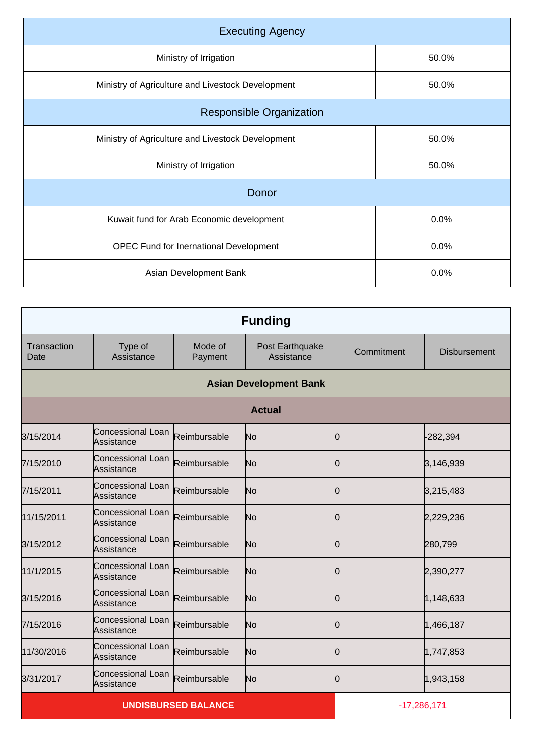| <b>Executing Agency</b>                           |       |  |  |  |
|---------------------------------------------------|-------|--|--|--|
| Ministry of Irrigation                            | 50.0% |  |  |  |
| Ministry of Agriculture and Livestock Development | 50.0% |  |  |  |
| <b>Responsible Organization</b>                   |       |  |  |  |
| Ministry of Agriculture and Livestock Development | 50.0% |  |  |  |
| Ministry of Irrigation                            | 50.0% |  |  |  |
| Donor                                             |       |  |  |  |
| Kuwait fund for Arab Economic development         | 0.0%  |  |  |  |
| <b>OPEC Fund for Inernational Development</b>     | 0.0%  |  |  |  |
| Asian Development Bank                            | 0.0%  |  |  |  |

|                     |                                 |                    | <b>Funding</b>                |               |                     |
|---------------------|---------------------------------|--------------------|-------------------------------|---------------|---------------------|
| Transaction<br>Date | Type of<br>Assistance           | Mode of<br>Payment | Post Earthquake<br>Assistance | Commitment    | <b>Disbursement</b> |
|                     |                                 |                    | <b>Asian Development Bank</b> |               |                     |
|                     |                                 |                    | <b>Actual</b>                 |               |                     |
| 3/15/2014           | Concessional Loan<br>Assistance | Reimbursable       | No                            | 0             | $-282,394$          |
| 7/15/2010           | Concessional Loan<br>Assistance | Reimbursable       | No                            | 0             | 3,146,939           |
| 7/15/2011           | Concessional Loan<br>Assistance | Reimbursable       | No                            | Ю             | 3,215,483           |
| 11/15/2011          | Concessional Loan<br>Assistance | Reimbursable       | No                            | Ю             | 2,229,236           |
| 3/15/2012           | Concessional Loan<br>Assistance | Reimbursable       | No                            | Ю             | 280,799             |
| 11/1/2015           | Concessional Loan<br>Assistance | Reimbursable       | No                            | 0             | 2,390,277           |
| 3/15/2016           | Concessional Loan<br>Assistance | Reimbursable       | No                            | 0             | 1,148,633           |
| 7/15/2016           | Concessional Loan<br>Assistance | Reimbursable       | No                            | 10            | 1,466,187           |
| 11/30/2016          | Concessional Loan<br>Assistance | Reimbursable       | No                            | n             | 1,747,853           |
| 3/31/2017           | Concessional Loan<br>Assistance | Reimbursable       | No                            | Ю             | 1,943,158           |
|                     | <b>UNDISBURSED BALANCE</b>      |                    |                               | $-17,286,171$ |                     |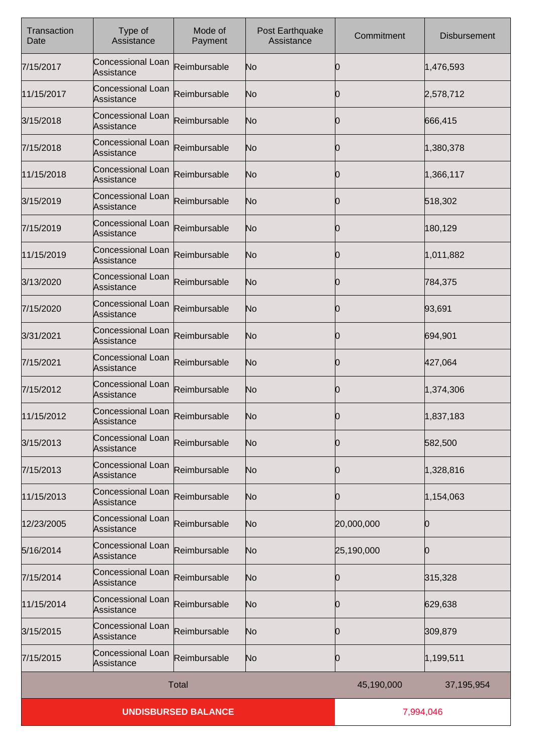| Transaction<br>Date | Type of<br>Assistance                  | Mode of<br>Payment | Post Earthquake<br>Assistance | Commitment | <b>Disbursement</b> |
|---------------------|----------------------------------------|--------------------|-------------------------------|------------|---------------------|
| 7/15/2017           | Concessional Loan<br>Assistance        | Reimbursable       | No                            | Ю          | 1,476,593           |
| 11/15/2017          | Concessional Loan<br>Assistance        | Reimbursable       | No                            | 0          | 2,578,712           |
| 3/15/2018           | Concessional Loan<br>Assistance        | Reimbursable       | No                            | Ю          | 666,415             |
| 7/15/2018           | Concessional Loan<br>Assistance        | Reimbursable       | No                            | 0          | 1,380,378           |
| 11/15/2018          | Concessional Loan<br>Assistance        | Reimbursable       | No                            | 0          | 1,366,117           |
| 3/15/2019           | <b>Concessional Loan</b><br>Assistance | Reimbursable       | No                            | 0          | 518,302             |
| 7/15/2019           | Concessional Loan<br>Assistance        | Reimbursable       | No                            | 0          | 180,129             |
| 11/15/2019          | <b>Concessional Loan</b><br>Assistance | Reimbursable       | No                            | Ю          | 1,011,882           |
| 3/13/2020           | Concessional Loan<br>Assistance        | Reimbursable       | No                            | 0          | 784,375             |
| 7/15/2020           | <b>Concessional Loan</b><br>Assistance | Reimbursable       | No                            | 10         | 93,691              |
| 3/31/2021           | Concessional Loan<br>Assistance        | Reimbursable       | No                            | Ю          | 694,901             |
| 7/15/2021           | <b>Concessional Loan</b><br>Assistance | Reimbursable       | No                            | 10         | 427,064             |
| 7/15/2012           | Concessional Loan<br>Assistance        | Reimbursable       | No                            | Ю          | 1,374,306           |
| 11/15/2012          | Concessional Loan<br>Assistance        | Reimbursable       | No                            | 0          | 1,837,183           |
| 3/15/2013           | Concessional Loan<br>Assistance        | Reimbursable       | No                            | 10         | 582,500             |
| 7/15/2013           | Concessional Loan<br>Assistance        | Reimbursable       | No                            | 10         | 1,328,816           |
| 11/15/2013          | Concessional Loan<br>Assistance        | Reimbursable       | No                            | 10         | 1,154,063           |
| 12/23/2005          | Concessional Loan<br>Assistance        | Reimbursable       | No                            | 20,000,000 | Ю                   |
| 5/16/2014           | Concessional Loan<br>Assistance        | Reimbursable       | No                            | 25,190,000 | Ю                   |
| 7/15/2014           | Concessional Loan<br>Assistance        | Reimbursable       | No                            | 10         | 315,328             |
| 11/15/2014          | Concessional Loan<br>Assistance        | Reimbursable       | No                            | 10         | 629,638             |
| 3/15/2015           | Concessional Loan<br>Assistance        | Reimbursable       | No                            | Ю          | 309,879             |
| 7/15/2015           | Concessional Loan<br>Assistance        | Reimbursable       | No                            | 0          | 1,199,511           |
|                     | <b>Total</b>                           |                    |                               | 45,190,000 | 37,195,954          |
|                     | <b>UNDISBURSED BALANCE</b>             |                    |                               | 7,994,046  |                     |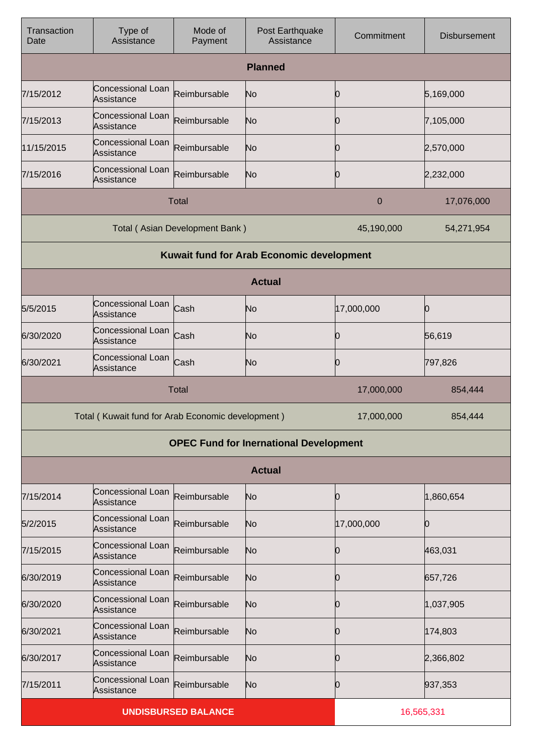| Transaction<br>Date                           | Type of<br>Assistance                             | Mode of<br>Payment             | Post Earthquake<br>Assistance                    | Commitment | <b>Disbursement</b> |
|-----------------------------------------------|---------------------------------------------------|--------------------------------|--------------------------------------------------|------------|---------------------|
| <b>Planned</b>                                |                                                   |                                |                                                  |            |                     |
| 7/15/2012                                     | Concessional Loan<br>Assistance                   | Reimbursable                   | No                                               | 10         | 5,169,000           |
| 7/15/2013                                     | Concessional Loan<br>Assistance                   | Reimbursable                   | No                                               | 10         | 7,105,000           |
| 11/15/2015                                    | Concessional Loan<br>Assistance                   | Reimbursable                   | No                                               | 10         | 2,570,000           |
| 7/15/2016                                     | Concessional Loan<br>Assistance                   | Reimbursable                   | No                                               | 10         | 2,232,000           |
|                                               |                                                   | <b>Total</b>                   |                                                  | 0          | 17,076,000          |
|                                               |                                                   | Total (Asian Development Bank) |                                                  | 45,190,000 | 54,271,954          |
|                                               |                                                   |                                | <b>Kuwait fund for Arab Economic development</b> |            |                     |
|                                               |                                                   |                                | <b>Actual</b>                                    |            |                     |
| 5/5/2015                                      | Concessional Loan<br>Assistance                   | Cash                           | No                                               | 17,000,000 | Ю                   |
| 6/30/2020                                     | Concessional Loan<br>Assistance                   | Cash                           | No                                               | 10         | 56,619              |
| 6/30/2021                                     | Concessional Loan<br>Assistance                   | Cash                           | No                                               | 10         | 797,826             |
|                                               |                                                   | <b>Total</b>                   |                                                  | 17,000,000 | 854,444             |
|                                               | Total (Kuwait fund for Arab Economic development) |                                |                                                  | 17,000,000 | 854,444             |
| <b>OPEC Fund for Inernational Development</b> |                                                   |                                |                                                  |            |                     |
| <b>Actual</b>                                 |                                                   |                                |                                                  |            |                     |
| 7/15/2014                                     | Concessional Loan<br>Assistance                   | Reimbursable                   | No                                               | 0          | 1,860,654           |
| 5/2/2015                                      | Concessional Loan<br>Assistance                   | Reimbursable                   | No                                               | 17,000,000 | 0                   |
| 7/15/2015                                     | Concessional Loan<br>Assistance                   | Reimbursable                   | No                                               | 10         | 463,031             |
| 6/30/2019                                     | Concessional Loan<br>Assistance                   | Reimbursable                   | No                                               | 10         | 657,726             |
| 6/30/2020                                     | Concessional Loan<br>Assistance                   | Reimbursable                   | No                                               | 10         | 1,037,905           |
| 6/30/2021                                     | Concessional Loan<br>Assistance                   | Reimbursable                   | No                                               | 10         | 174,803             |
| 6/30/2017                                     | Concessional Loan<br>Assistance                   | Reimbursable                   | No                                               | 10         | 2,366,802           |
| 7/15/2011                                     | Concessional Loan<br>Assistance                   | Reimbursable                   | No                                               | 10         | 937,353             |
|                                               |                                                   | <b>UNDISBURSED BALANCE</b>     |                                                  |            | 16,565,331          |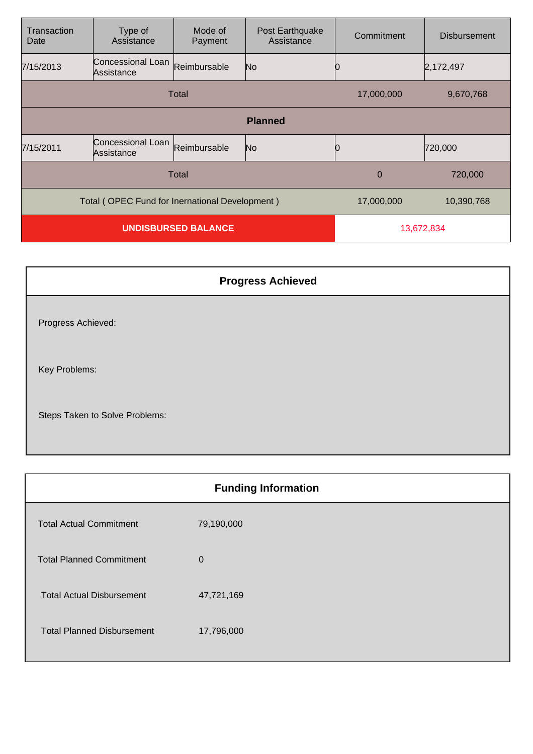| Transaction<br>Date                                          | Type of<br>Assistance           | Mode of<br>Payment | Post Earthquake<br>Assistance | Commitment | <b>Disbursement</b> |
|--------------------------------------------------------------|---------------------------------|--------------------|-------------------------------|------------|---------------------|
| 7/15/2013                                                    | Concessional Loan<br>Assistance | Reimbursable       | No                            |            | 2,172,497           |
| Total                                                        |                                 |                    | 17,000,000                    | 9,670,768  |                     |
|                                                              |                                 |                    | <b>Planned</b>                |            |                     |
| 7/15/2011                                                    | Concessional Loan<br>Assistance | Reimbursable       | No                            |            | 720,000             |
| Total                                                        |                                 |                    |                               | $\Omega$   | 720,000             |
| Total (OPEC Fund for Inernational Development)<br>17,000,000 |                                 |                    |                               | 10,390,768 |                     |
| <b>UNDISBURSED BALANCE</b>                                   |                                 |                    | 13,672,834                    |            |                     |

| <b>Progress Achieved</b>       |
|--------------------------------|
| Progress Achieved:             |
| Key Problems:                  |
| Steps Taken to Solve Problems: |

|                                   | <b>Funding Information</b> |
|-----------------------------------|----------------------------|
| <b>Total Actual Commitment</b>    | 79,190,000                 |
| <b>Total Planned Commitment</b>   | $\Omega$                   |
| <b>Total Actual Disbursement</b>  | 47,721,169                 |
| <b>Total Planned Disbursement</b> | 17,796,000                 |
|                                   |                            |